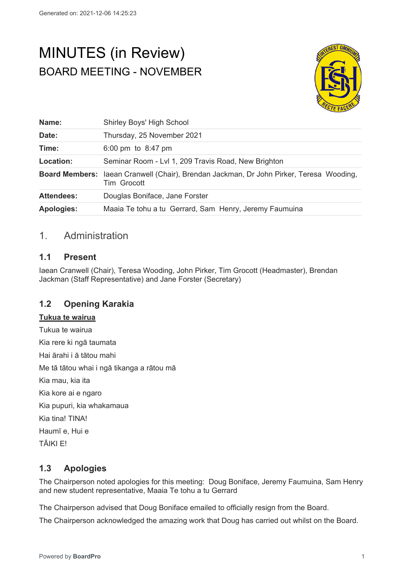# MINUTES (in Review) BOARD MEETING - NOVEMBER



| Name:             | Shirley Boys' High School                                                                              |
|-------------------|--------------------------------------------------------------------------------------------------------|
| Date:             | Thursday, 25 November 2021                                                                             |
| Time:             | 6:00 pm to $8:47$ pm                                                                                   |
| Location:         | Seminar Room - Lvl 1, 209 Travis Road, New Brighton                                                    |
|                   | Board Members: laean Cranwell (Chair), Brendan Jackman, Dr John Pirker, Teresa Wooding,<br>Tim Grocott |
| <b>Attendees:</b> | Douglas Boniface, Jane Forster                                                                         |
| <b>Apologies:</b> | Maaia Te tohu a tu Gerrard, Sam Henry, Jeremy Faumuina                                                 |

# 1. Administration

# **1.1 Present**

Iaean Cranwell (Chair), Teresa Wooding, John Pirker, Tim Grocott (Headmaster), Brendan Jackman (Staff Representative) and Jane Forster (Secretary)

# **1.2 Opening Karakia**

#### **Tukua te wairua**

Tukua te wairua Kia rere ki ngā taumata Hai ārahi i ā tātou mahi Me tā tātou whai i ngā tikanga a rātou mā Kia mau, kia ita Kia kore ai e ngaro Kia pupuri, kia whakamaua Kia tina! TINA! Haumī e, Hui e TĀIKI E!

# **1.3 Apologies**

The Chairperson noted apologies for this meeting: Doug Boniface, Jeremy Faumuina, Sam Henry and new student representative, Maaia Te tohu a tu Gerrard

The Chairperson advised that Doug Boniface emailed to officially resign from the Board.

The Chairperson acknowledged the amazing work that Doug has carried out whilst on the Board.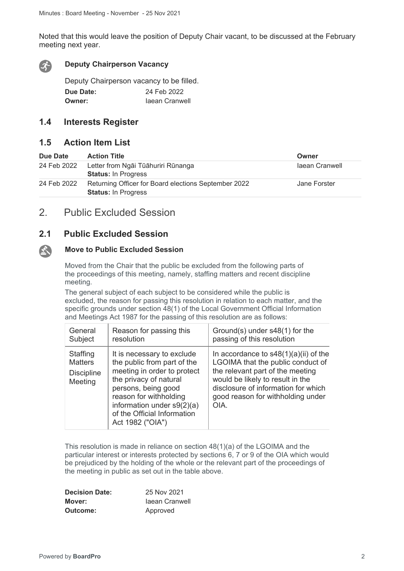Noted that this would leave the position of Deputy Chair vacant, to be discussed at the February meeting next year.



 $\mathbf{A}$ 

#### **Deputy Chairperson Vacancy**

Deputy Chairperson vacancy to be filled. **Due Date:** 24 Feb 2022 **Owner: Iaean Cranwell** 

## **1.4 Interests Register**

## **1.5 Action Item List**

| Due Date    | <b>Action Title</b>                                                                | Owner          |
|-------------|------------------------------------------------------------------------------------|----------------|
| 24 Feb 2022 | Letter from Ngāi Tūāhuriri Rūnanga<br><b>Status: In Progress</b>                   | laean Cranwell |
| 24 Feb 2022 | Returning Officer for Board elections September 2022<br><b>Status: In Progress</b> | Jane Forster   |

# 2. Public Excluded Session

## **2.1 Public Excluded Session**

### **Move to Public Excluded Session**

Moved from the Chair that the public be excluded from the following parts of the proceedings of this meeting, namely, staffing matters and recent discipline meeting.

The general subject of each subject to be considered while the public is excluded, the reason for passing this resolution in relation to each matter, and the specific grounds under section 48(1) of the Local Government Official Information and Meetings Act 1987 for the passing of this resolution are as follows:

| General                                                    | Reason for passing this                                                                                                                                                                                                                                | Ground(s) under s48(1) for the                                                                                                                                                                                                           |
|------------------------------------------------------------|--------------------------------------------------------------------------------------------------------------------------------------------------------------------------------------------------------------------------------------------------------|------------------------------------------------------------------------------------------------------------------------------------------------------------------------------------------------------------------------------------------|
| Subject                                                    | resolution                                                                                                                                                                                                                                             | passing of this resolution                                                                                                                                                                                                               |
| Staffing<br><b>Matters</b><br><b>Discipline</b><br>Meeting | It is necessary to exclude<br>the public from part of the<br>meeting in order to protect<br>the privacy of natural<br>persons, being good<br>reason for withholding<br>information under $s9(2)(a)$<br>of the Official Information<br>Act 1982 ("OIA") | In accordance to $s48(1)(a)(ii)$ of the<br>LGOIMA that the public conduct of<br>the relevant part of the meeting<br>would be likely to result in the<br>disclosure of information for which<br>good reason for withholding under<br>OIA. |

This resolution is made in reliance on section 48(1)(a) of the LGOIMA and the particular interest or interests protected by sections 6, 7 or 9 of the OIA which would be prejudiced by the holding of the whole or the relevant part of the proceedings of the meeting in public as set out in the table above.

| <b>Decision Date:</b> | 25 Nov 2021    |
|-----------------------|----------------|
| Mover:                | laean Cranwell |
| Outcome:              | Approved       |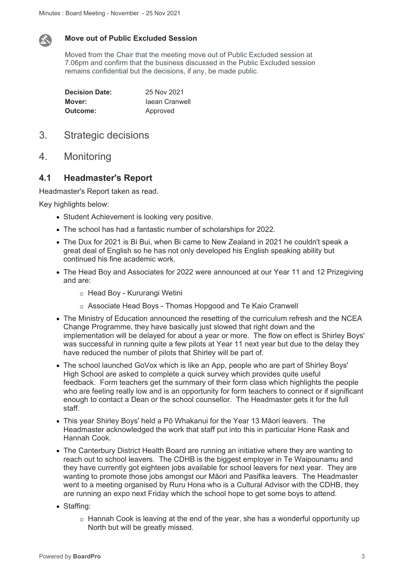

### **Move out of Public Excluded Session**

Moved from the Chair that the meeting move out of Public Excluded session at 7.06pm and confirm that the business discussed in the Public Excluded session remains confidential but the decisions, if any, be made public.

| <b>Decision Date:</b> | 25 Nov 2021    |
|-----------------------|----------------|
| Mover:                | laean Cranwell |
| Outcome:              | Approved       |

- 3. Strategic decisions
- 4. Monitoring

## **4.1 Headmaster's Report**

Headmaster's Report taken as read.

Key highlights below:

- Student Achievement is looking very positive.
- The school has had a fantastic number of scholarships for 2022.
- The Dux for 2021 is Bi Bui, when Bi came to New Zealand in 2021 he couldn't speak a great deal of English so he has not only developed his English speaking ability but continued his fine academic work.
- The Head Boy and Associates for 2022 were announced at our Year 11 and 12 Prizegiving and are:
	- o Head Boy Kururangi Wetini
	- o Associate Head Boys Thomas Hopgood and Te Kaio Cranwell
- The Ministry of Education announced the resetting of the curriculum refresh and the NCEA Change Programme, they have basically just slowed that right down and the implementation will be delayed for about a year or more. The flow on effect is Shirley Boys' was successful in running quite a few pilots at Year 11 next year but due to the delay they have reduced the number of pilots that Shirley will be part of.
- The school launched GoVox which is like an App, people who are part of Shirley Boys' High School are asked to complete a quick survey which provides quite useful feedback. Form teachers get the summary of their form class which highlights the people who are feeling really low and is an opportunity for form teachers to connect or if significant enough to contact a Dean or the school counsellor. The Headmaster gets it for the full staff.
- This year Shirley Boys' held a Pō Whakanui for the Year 13 Māori leavers. The Headmaster acknowledged the work that staff put into this in particular Hone Rask and Hannah Cook.
- The Canterbury District Health Board are running an initiative where they are wanting to reach out to school leavers. The CDHB is the biggest employer in Te Waipounamu and they have currently got eighteen jobs available for school leavers for next year. They are wanting to promote those jobs amongst our Māori and Pasifika leavers. The Headmaster went to a meeting organised by Ruru Hona who is a Cultural Advisor with the CDHB, they are running an expo next Friday which the school hope to get some boys to attend.
- Staffing:
	- o Hannah Cook is leaving at the end of the year, she has a wonderful opportunity up North but will be greatly missed.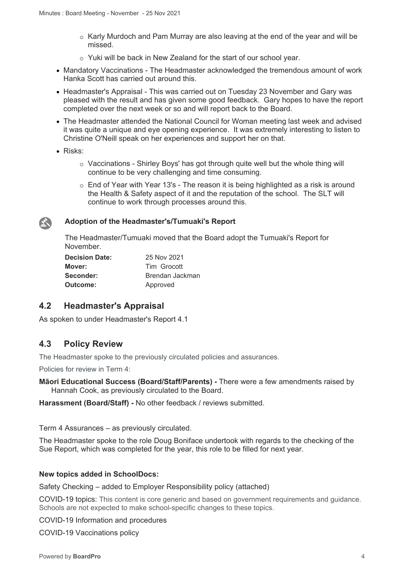- o Karly Murdoch and Pam Murray are also leaving at the end of the year and will be missed.
- o Yuki will be back in New Zealand for the start of our school year.
- Mandatory Vaccinations The Headmaster acknowledged the tremendous amount of work Hanka Scott has carried out around this.
- Headmaster's Appraisal This was carried out on Tuesday 23 November and Gary was pleased with the result and has given some good feedback. Gary hopes to have the report completed over the next week or so and will report back to the Board.
- The Headmaster attended the National Council for Woman meeting last week and advised it was quite a unique and eye opening experience. It was extremely interesting to listen to Christine O'Neill speak on her experiences and support her on that.
- Risks:

 $\sum_{i=1}^{n}$ 

- o Vaccinations Shirley Boys' has got through quite well but the whole thing will continue to be very challenging and time consuming.
- o End of Year with Year 13's The reason it is being highlighted as a risk is around the Health & Safety aspect of it and the reputation of the school. The SLT will continue to work through processes around this.

#### **Adoption of the Headmaster's/Tumuaki's Report**

The Headmaster/Tumuaki moved that the Board adopt the Tumuaki's Report for November.

| <b>Decision Date:</b> | 25 Nov 2021     |
|-----------------------|-----------------|
| Mover:                | Tim Grocott     |
| Seconder:             | Brendan Jackman |
| Outcome:              | Approved        |

## **4.2 Headmaster's Appraisal**

As spoken to under Headmaster's Report 4.1

## **4.3 Policy Review**

The Headmaster spoke to the previously circulated policies and assurances.

Policies for review in Term 4:

**Māori Educational Success (Board/Staff/Parents) -** There were a few amendments raised by Hannah Cook, as previously circulated to the Board.

**Harassment (Board/Staff) -** No other feedback / reviews submitted.

Term 4 Assurances – as previously circulated.

The Headmaster spoke to the role Doug Boniface undertook with regards to the checking of the Sue Report, which was completed for the year, this role to be filled for next year.

#### **New topics added in SchoolDocs:**

Safety Checking – added to Employer Responsibility policy (attached)

COVID-19 topics: This content is core generic and based on government requirements and guidance. Schools are not expected to make school-specific changes to these topics.

COVID-19 Information and procedures

COVID-19 Vaccinations policy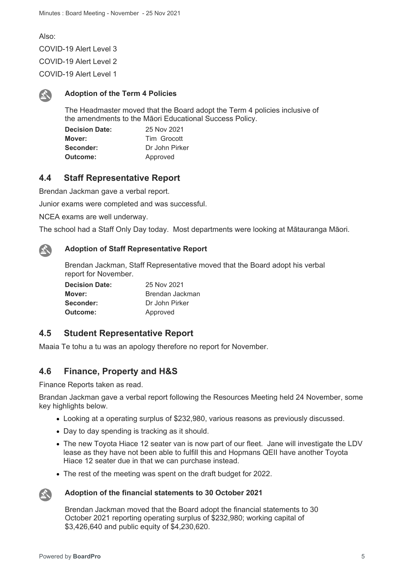Also: COVID-19 Alert Level 3 COVID-19 Alert Level 2 COVID-19 Alert Level 1



The Headmaster moved that the Board adopt the Term 4 policies inclusive of the amendments to the Māori Educational Success Policy.

| <b>Decision Date:</b> | 25 Nov 2021    |
|-----------------------|----------------|
| Mover:                | Tim Grocott    |
| Seconder:             | Dr John Pirker |
| Outcome:              | Approved       |

## **4.4 Staff Representative Report**

Brendan Jackman gave a verbal report.

Junior exams were completed and was successful.

NCEA exams are well underway.

The school had a Staff Only Day today. Most departments were looking at Mātauranga Māori.



#### **Adoption of Staff Representative Report**

Brendan Jackman, Staff Representative moved that the Board adopt his verbal report for November.

| <b>Decision Date:</b> | 25 Nov 2021     |
|-----------------------|-----------------|
| Mover:                | Brendan Jackman |
| Seconder:             | Dr John Pirker  |
| Outcome:              | Approved        |

## **4.5 Student Representative Report**

Maaia Te tohu a tu was an apology therefore no report for November.

## **4.6 Finance, Property and H&S**

Finance Reports taken as read.

Brandan Jackman gave a verbal report following the Resources Meeting held 24 November, some key highlights below.

- Looking at a operating surplus of \$232,980, various reasons as previously discussed.
- Day to day spending is tracking as it should.
- The new Toyota Hiace 12 seater van is now part of our fleet. Jane will investigate the LDV lease as they have not been able to fulfill this and Hopmans QEII have another Toyota Hiace 12 seater due in that we can purchase instead.
- The rest of the meeting was spent on the draft budget for 2022.



#### **Adoption of the financial statements to 30 October 2021**

Brendan Jackman moved that the Board adopt the financial statements to 30 October 2021 reporting operating surplus of \$232,980; working capital of \$3,426,640 and public equity of \$4,230,620.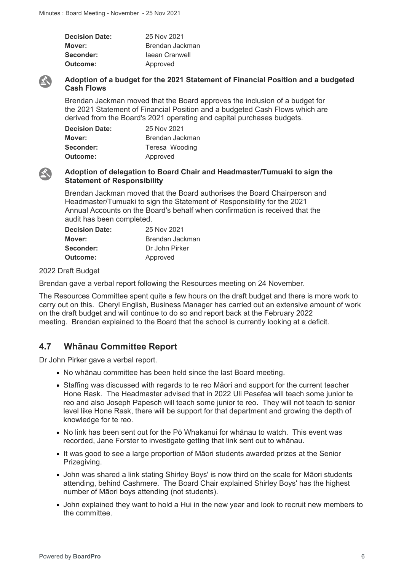| <b>Decision Date:</b> | 25 Nov 2021     |
|-----------------------|-----------------|
| Mover:                | Brendan Jackman |
| Seconder:             | laean Cranwell  |
| Outcome:              | Approved        |



E.

### **Adoption of a budget for the 2021 Statement of Financial Position and a budgeted Cash Flows**

Brendan Jackman moved that the Board approves the inclusion of a budget for the 2021 Statement of Financial Position and a budgeted Cash Flows which are derived from the Board's 2021 operating and capital purchases budgets.

| <b>Decision Date:</b> | 25 Nov 2021     |
|-----------------------|-----------------|
| Mover:                | Brendan Jackman |
| Seconder:             | Teresa Wooding  |
| Outcome:              | Approved        |

#### **Adoption of delegation to Board Chair and Headmaster/Tumuaki to sign the Statement of Responsibility**

Brendan Jackman moved that the Board authorises the Board Chairperson and Headmaster/Tumuaki to sign the Statement of Responsibility for the 2021 Annual Accounts on the Board's behalf when confirmation is received that the audit has been completed.

| <b>Decision Date:</b> | 25 Nov 2021     |
|-----------------------|-----------------|
| Mover:                | Brendan Jackman |
| Seconder:             | Dr John Pirker  |
| Outcome:              | Approved        |

#### 2022 Draft Budget

Brendan gave a verbal report following the Resources meeting on 24 November.

The Resources Committee spent quite a few hours on the draft budget and there is more work to carry out on this. Cheryl English, Business Manager has carried out an extensive amount of work on the draft budget and will continue to do so and report back at the February 2022 meeting. Brendan explained to the Board that the school is currently looking at a deficit.

# **4.7 Whānau Committee Report**

Dr John Pirker gave a verbal report.

- No whānau committee has been held since the last Board meeting.
- Staffing was discussed with regards to te reo Māori and support for the current teacher Hone Rask. The Headmaster advised that in 2022 Uli Pesefea will teach some junior te reo and also Joseph Papesch will teach some junior te reo. They will not teach to senior level like Hone Rask, there will be support for that department and growing the depth of knowledge for te reo.
- No link has been sent out for the Pō Whakanui for whānau to watch. This event was recorded, Jane Forster to investigate getting that link sent out to whānau.
- It was good to see a large proportion of Māori students awarded prizes at the Senior Prizegiving.
- John was shared a link stating Shirley Boys' is now third on the scale for Māori students attending, behind Cashmere. The Board Chair explained Shirley Boys' has the highest number of Māori boys attending (not students).
- John explained they want to hold a Hui in the new year and look to recruit new members to the committee.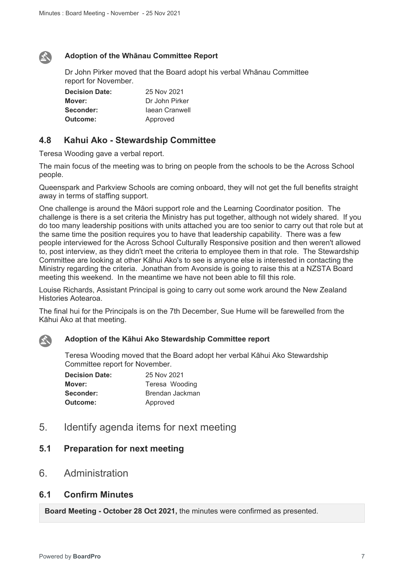## **Adoption of the Whānau Committee Report**

Dr John Pirker moved that the Board adopt his verbal Whānau Committee report for November.

| <b>Decision Date:</b> | 25 Nov 2021    |
|-----------------------|----------------|
| Mover:                | Dr John Pirker |
| Seconder:             | Jaean Cranwell |
| Outcome:              | Approved       |

## **4.8 Kahui Ako - Stewardship Committee**

Teresa Wooding gave a verbal report.

The main focus of the meeting was to bring on people from the schools to be the Across School people.

Queenspark and Parkview Schools are coming onboard, they will not get the full benefits straight away in terms of staffing support.

One challenge is around the Māori support role and the Learning Coordinator position. The challenge is there is a set criteria the Ministry has put together, although not widely shared. If you do too many leadership positions with units attached you are too senior to carry out that role but at the same time the position requires you to have that leadership capability. There was a few people interviewed for the Across School Culturally Responsive position and then weren't allowed to, post interview, as they didn't meet the criteria to employee them in that role. The Stewardship Committee are looking at other Kāhui Ako's to see is anyone else is interested in contacting the Ministry regarding the criteria. Jonathan from Avonside is going to raise this at a NZSTA Board meeting this weekend. In the meantime we have not been able to fill this role.

Louise Richards, Assistant Principal is going to carry out some work around the New Zealand Histories Aotearoa.

The final hui for the Principals is on the 7th December, Sue Hume will be farewelled from the Kāhui Ako at that meeting.



 $\mathbf{A}$ 

#### **Adoption of the Kāhui Ako Stewardship Committee report**

Teresa Wooding moved that the Board adopt her verbal Kāhui Ako Stewardship Committee report for November.

| <b>Decision Date:</b> | 25 Nov 2021     |
|-----------------------|-----------------|
| Mover:                | Teresa Wooding  |
| Seconder:             | Brendan Jackman |
| Outcome:              | Approved        |

5. Identify agenda items for next meeting

## **5.1 Preparation for next meeting**

6. Administration

## **6.1 Confirm Minutes**

**Board Meeting - October 28 Oct 2021,** the minutes were confirmed as presented.